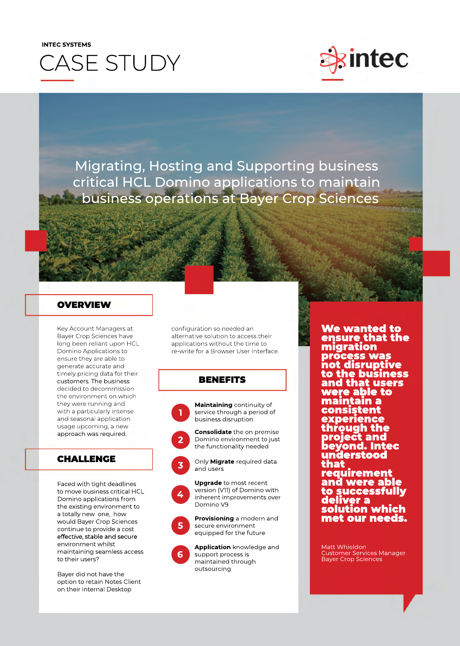# **INTEC SYSTEMS** CASE STUDY



Migrating, Hosting and Supporting business critical HCL Domino applications to maintain business operations at Bayer Crop Sciences

### **OVERVIEW**

Key Account Managers at Bayer Crop Sciences have long been reliant upon HCL Domino Applications to ensure they are able to generate accurate and timely pricing data for their customers. The business decided to decommission the environment on which they were running and with a particularly intense and seasonal application usage upcoming, a new approach was required.

## CHALLENGE

Faced with tight deadlines to move business critical HCL Domino applications from the existing environment to a totally new one, how would Bayer Crop Sciences continue to provide a cost effective, stable and secure environment whilst maintaining seamless access to their users?

Bayer did not have the option to retain Notes Client on their internal Desktop

configuration so needed an alternative solution to access their applications without the time to re-write for a Browser User Interface.

## **BENEFITS**



**Maintaining** continuity of service through a period of business disruption



**Consolidate** the on premise Domino environment to just the functionality needed





**Upgrade** to most recent version (V11) of Domino with inherent improvements over Domino V9



**Provisioning** a modern and secure environment equipped for the future



**Application** knowledge and support process is maintained through outsourcing

We wanted to ensure that the migration process was not disruptive to the business and that users were able to maintain a consistent experience through the project and beyond. Intec understood that requirement and were able to successfully deliver a solution which met our needs.

Matt Whieldon Customer Services Manager Bayer Crop Sciences